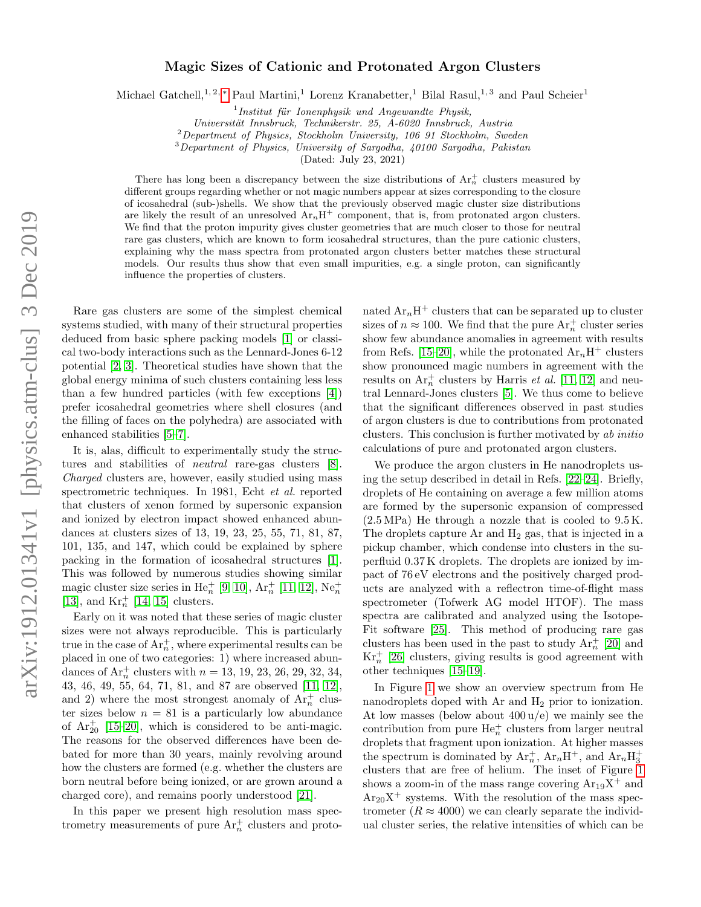## Magic Sizes of Cationic and Protonated Argon Clusters

Michael Gatchell,<sup>1, 2, \*</sup> Paul Martini,<sup>1</sup> Lorenz Kranabetter,<sup>1</sup> Bilal Rasul,<sup>1, 3</sup> and Paul Scheier<sup>1</sup>

 $1$ Institut für Ionenphysik und Angewandte Physik,

Universität Innsbruck, Technikerstr. 25, A-6020 Innsbruck, Austria

 $^{2}$ Department of Physics, Stockholm University, 106 91 Stockholm, Sweden

<sup>3</sup>Department of Physics, University of Sargodha, 40100 Sargodha, Pakistan

(Dated: July 23, 2021)

There has long been a discrepancy between the size distributions of  $Ar_n^+$  clusters measured by different groups regarding whether or not magic numbers appear at sizes corresponding to the closure of icosahedral (sub-)shells. We show that the previously observed magic cluster size distributions are likely the result of an unresolved  $Ar_nH^+$  component, that is, from protonated argon clusters. We find that the proton impurity gives cluster geometries that are much closer to those for neutral rare gas clusters, which are known to form icosahedral structures, than the pure cationic clusters, explaining why the mass spectra from protonated argon clusters better matches these structural models. Our results thus show that even small impurities, e.g. a single proton, can significantly influence the properties of clusters.

Rare gas clusters are some of the simplest chemical systems studied, with many of their structural properties deduced from basic sphere packing models [\[1\]](#page-3-1) or classical two-body interactions such as the Lennard-Jones 6-12 potential [\[2,](#page-3-2) [3\]](#page-3-3). Theoretical studies have shown that the global energy minima of such clusters containing less less than a few hundred particles (with few exceptions [\[4\]](#page-3-4)) prefer icosahedral geometries where shell closures (and the filling of faces on the polyhedra) are associated with enhanced stabilities [\[5](#page-3-5)[–7\]](#page-3-6).

It is, alas, difficult to experimentally study the structures and stabilities of neutral rare-gas clusters [\[8\]](#page-3-7). Charged clusters are, however, easily studied using mass spectrometric techniques. In 1981, Echt et al. reported that clusters of xenon formed by supersonic expansion and ionized by electron impact showed enhanced abundances at clusters sizes of 13, 19, 23, 25, 55, 71, 81, 87, 101, 135, and 147, which could be explained by sphere packing in the formation of icosahedral structures [\[1\]](#page-3-1). This was followed by numerous studies showing similar magic cluster size series in He<sup> $+$ </sup> [\[9,](#page-3-8) [10\]](#page-3-9), Ar<sup> $+$ </sup> [\[11,](#page-3-10) [12\]](#page-3-11), Ne<sup> $+$ </sup><sub>n</sub> [\[13\]](#page-3-12), and  $\mathrm{Kr}^+_n$  [\[14,](#page-3-13) [15\]](#page-4-0) clusters.

Early on it was noted that these series of magic cluster sizes were not always reproducible. This is particularly true in the case of  $Ar_n^+$ , where experimental results can be placed in one of two categories: 1) where increased abundances of  $Ar_n^+$  clusters with  $n = 13, 19, 23, 26, 29, 32, 34,$ 43, 46, 49, 55, 64, 71, 81, and 87 are observed [\[11,](#page-3-10) [12\]](#page-3-11), and 2) where the most strongest anomaly of  $Ar_n^+$  cluster sizes below  $n = 81$  is a particularly low abundance of  $Ar_{20}^{+}$  [\[15](#page-4-0)[–20\]](#page-4-1), which is considered to be anti-magic. The reasons for the observed differences have been debated for more than 30 years, mainly revolving around how the clusters are formed (e.g. whether the clusters are born neutral before being ionized, or are grown around a charged core), and remains poorly understood [\[21\]](#page-4-2).

In this paper we present high resolution mass spectrometry measurements of pure  $Ar_n^+$  clusters and proto-

nated  $Ar_nH^+$  clusters that can be separated up to cluster sizes of  $n \approx 100$ . We find that the pure  $\text{Ar}_n^+$  cluster series show few abundance anomalies in agreement with results from Refs. [\[15–](#page-4-0)[20\]](#page-4-1), while the protonated  $Ar_nH^+$  clusters show pronounced magic numbers in agreement with the results on  $\text{Ar}_n^+$  clusters by Harris *et al.* [\[11,](#page-3-10) [12\]](#page-3-11) and neutral Lennard-Jones clusters [\[5\]](#page-3-5). We thus come to believe that the significant differences observed in past studies of argon clusters is due to contributions from protonated clusters. This conclusion is further motivated by ab initio calculations of pure and protonated argon clusters.

We produce the argon clusters in He nanodroplets using the setup described in detail in Refs. [\[22](#page-4-3)[–24\]](#page-4-4). Briefly, droplets of He containing on average a few million atoms are formed by the supersonic expansion of compressed  $(2.5 \text{ MPa})$  He through a nozzle that is cooled to  $9.5 \text{ K}$ . The droplets capture Ar and  $H_2$  gas, that is injected in a pickup chamber, which condense into clusters in the superfluid 0.37 K droplets. The droplets are ionized by impact of 76 eV electrons and the positively charged products are analyzed with a reflectron time-of-flight mass spectrometer (Tofwerk AG model HTOF). The mass spectra are calibrated and analyzed using the Isotope-Fit software [\[25\]](#page-4-5). This method of producing rare gas clusters has been used in the past to study  $Ar_n^+$  [\[20\]](#page-4-1) and  $Kr_n^+$  [\[26\]](#page-4-6) clusters, giving results is good agreement with other techniques [\[15–](#page-4-0)[19\]](#page-4-7).

In Figure [1](#page-1-0) we show an overview spectrum from He nanodroplets doped with Ar and  $H_2$  prior to ionization. At low masses (below about  $400 \frac{u}{e}$ ) we mainly see the contribution from pure  $He_n^+$  clusters from larger neutral droplets that fragment upon ionization. At higher masses the spectrum is dominated by  $Ar_n^+$ ,  $Ar_nH^+$ , and  $Ar_nH_3^+$ clusters that are free of helium. The inset of Figure [1](#page-1-0) shows a zoom-in of the mass range covering  $Ar_{19}X^{+}$  and  $Ar_{20}X^{+}$  systems. With the resolution of the mass spectrometer  $(R \approx 4000)$  we can clearly separate the individual cluster series, the relative intensities of which can be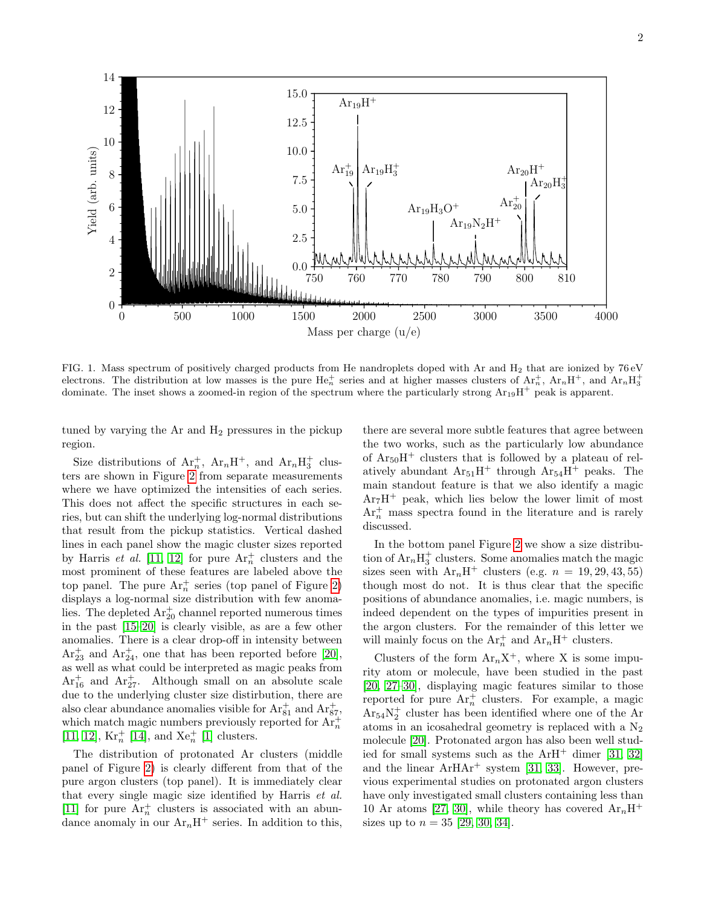

<span id="page-1-0"></span>FIG. 1. Mass spectrum of positively charged products from He nandroplets doped with Ar and  $H_2$  that are ionized by 76 eV electrons. The distribution at low masses is the pure  $He_n^+$  series and at higher masses clusters of  $Ar_n^+$ ,  $Ar_nH^+$ , and  $Ar_nH_3^+$ dominate. The inset shows a zoomed-in region of the spectrum where the particularly strong  $Ar_{19}H^+$  peak is apparent.

tuned by varying the Ar and  $H_2$  pressures in the pickup region.

Size distributions of  $Ar_n^+$ ,  $Ar_nH^+$ , and  $Ar_nH_3^+$  clusters are shown in Figure [2](#page-2-0) from separate measurements where we have optimized the intensities of each series. This does not affect the specific structures in each series, but can shift the underlying log-normal distributions that result from the pickup statistics. Vertical dashed lines in each panel show the magic cluster sizes reported by Harris *et al.* [\[11,](#page-3-10) [12\]](#page-3-11) for pure  $Ar_n^+$  clusters and the most prominent of these features are labeled above the top panel. The pure  $Ar_n^+$  series (top panel of Figure [2\)](#page-2-0) displays a log-normal size distribution with few anomalies. The depleted  $Ar_{20}^{+}$  channel reported numerous times in the past [\[15](#page-4-0)[–20\]](#page-4-1) is clearly visible, as are a few other anomalies. There is a clear drop-off in intensity between  $Ar_{23}^+$  and  $Ar_{24}^+$ , one that has been reported before [\[20\]](#page-4-1), as well as what could be interpreted as magic peaks from  $Ar_{16}^+$  and  $Ar_{27}^+$ . Although small on an absolute scale due to the underlying cluster size distirbution, there are also clear abundance anomalies visible for  $\text{Ar}_{81}^+$  and  $\text{Ar}_{87}^+$ , which match magic numbers previously reported for  $Ar_n^+$ [\[11,](#page-3-10) [12\]](#page-3-11),  $Kr_n^+$  [\[14\]](#page-3-13), and  $Xe_n^+$  [\[1\]](#page-3-1) clusters.

The distribution of protonated Ar clusters (middle panel of Figure [2\)](#page-2-0) is clearly different from that of the pure argon clusters (top panel). It is immediately clear that every single magic size identified by Harris et al. [\[11\]](#page-3-10) for pure  $Ar_n^+$  clusters is associated with an abundance anomaly in our  $Ar_nH^+$  series. In addition to this,

there are several more subtle features that agree between the two works, such as the particularly low abundance of  $Ar_{50}H^{+}$  clusters that is followed by a plateau of relatively abundant  $Ar_{51}H^+$  through  $Ar_{54}H^+$  peaks. The main standout feature is that we also identify a magic  $Ar<sub>7</sub>H<sup>+</sup>$  peak, which lies below the lower limit of most  $Ar_n^+$  mass spectra found in the literature and is rarely discussed.

In the bottom panel Figure [2](#page-2-0) we show a size distribution of  $Ar_nH_3^+$  clusters. Some anomalies match the magic sizes seen with  $Ar_nH^+$  clusters (e.g.  $n = 19, 29, 43, 55$ ) though most do not. It is thus clear that the specific positions of abundance anomalies, i.e. magic numbers, is indeed dependent on the types of impurities present in the argon clusters. For the remainder of this letter we will mainly focus on the  $Ar_n^+$  and  $Ar_nH^+$  clusters.

Clusters of the form  $Ar_nX^+$ , where X is some impurity atom or molecule, have been studied in the past [\[20,](#page-4-1) [27](#page-4-8)[–30\]](#page-4-9), displaying magic features similar to those reported for pure  $Ar_n^+$  clusters. For example, a magic  $Ar_{54}N_2^+$  cluster has been identified where one of the Ar atoms in an icosahedral geometry is replaced with a  $N_2$ molecule [\[20\]](#page-4-1). Protonated argon has also been well studied for small systems such as the  $ArH^+$  dimer [\[31,](#page-4-10) [32\]](#page-4-11) and the linear  $ArHAr^+$  system [\[31,](#page-4-10) [33\]](#page-4-12). However, previous experimental studies on protonated argon clusters have only investigated small clusters containing less than 10 Ar atoms [\[27,](#page-4-8) [30\]](#page-4-9), while theory has covered  $Ar_nH^+$ sizes up to  $n = 35$  [\[29,](#page-4-13) [30,](#page-4-9) [34\]](#page-4-14).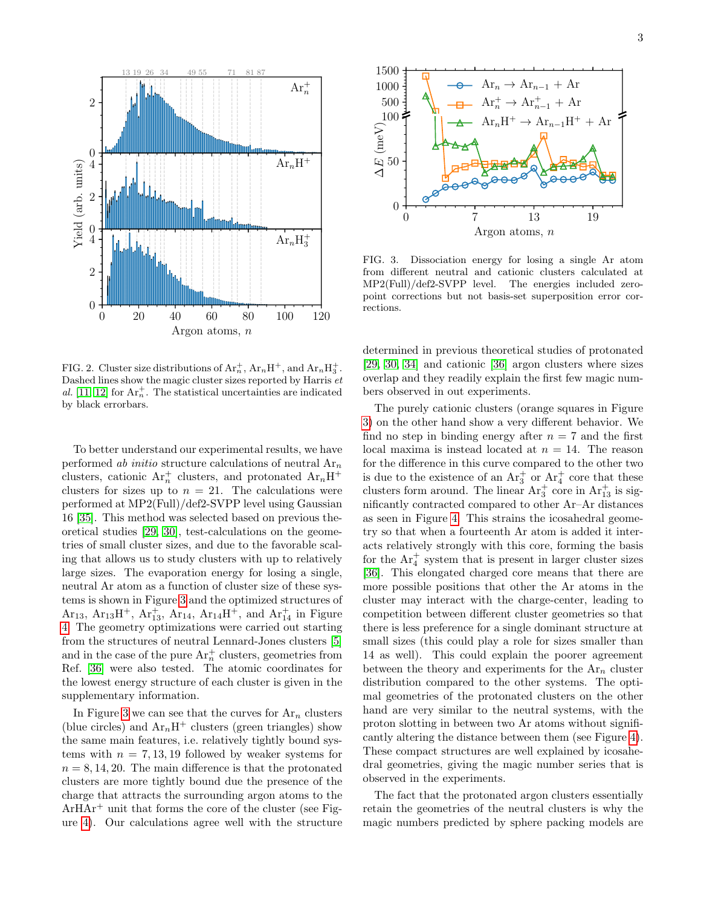

<span id="page-2-0"></span>FIG. 2. Cluster size distributions of  $Ar_n^+$ ,  $Ar_nH^+$ , and  $Ar_nH_3^+$ . Dashed lines show the magic cluster sizes reported by Harris et al. [\[11,](#page-3-10) [12\]](#page-3-11) for  $Ar_n^+$ . The statistical uncertainties are indicated by black errorbars.

To better understand our experimental results, we have performed ab initio structure calculations of neutral  $Ar_n$ clusters, cationic  $Ar_n^+$  clusters, and protonated  $Ar_nH^+$ clusters for sizes up to  $n = 21$ . The calculations were performed at MP2(Full)/def2-SVPP level using Gaussian 16 [\[35\]](#page-4-15). This method was selected based on previous theoretical studies [\[29,](#page-4-13) [30\]](#page-4-9), test-calculations on the geometries of small cluster sizes, and due to the favorable scaling that allows us to study clusters with up to relatively large sizes. The evaporation energy for losing a single, neutral Ar atom as a function of cluster size of these systems is shown in Figure [3](#page-2-1) and the optimized structures of Ar<sub>13</sub>, Ar<sub>13</sub>H<sup>+</sup>, Ar<sub>13</sub>, Ar<sub>14</sub>, Ar<sub>14</sub>H<sup>+</sup>, and Ar<sub>14</sub><sup>+</sup> in Figure [4.](#page-3-14) The geometry optimizations were carried out starting from the structures of neutral Lennard-Jones clusters [\[5\]](#page-3-5) and in the case of the pure  $\text{Ar}_n^+$  clusters, geometries from Ref. [\[36\]](#page-4-16) were also tested. The atomic coordinates for the lowest energy structure of each cluster is given in the supplementary information.

In Figure [3](#page-2-1) we can see that the curves for  $Ar_n$  clusters (blue circles) and  $Ar_nH^+$  clusters (green triangles) show the same main features, i.e. relatively tightly bound systems with  $n = 7, 13, 19$  followed by weaker systems for  $n = 8, 14, 20$ . The main difference is that the protonated clusters are more tightly bound due the presence of the charge that attracts the surrounding argon atoms to the  $ArHAr<sup>+</sup>$  unit that forms the core of the cluster (see Figure [4\)](#page-3-14). Our calculations agree well with the structure



<span id="page-2-1"></span>FIG. 3. Dissociation energy for losing a single Ar atom from different neutral and cationic clusters calculated at MP2(Full)/def2-SVPP level. The energies included zeropoint corrections but not basis-set superposition error corrections.

determined in previous theoretical studies of protonated [\[29,](#page-4-13) [30,](#page-4-9) [34\]](#page-4-14) and cationic [\[36\]](#page-4-16) argon clusters where sizes overlap and they readily explain the first few magic numbers observed in out experiments.

The purely cationic clusters (orange squares in Figure [3\)](#page-2-1) on the other hand show a very different behavior. We find no step in binding energy after  $n = 7$  and the first local maxima is instead located at  $n = 14$ . The reason for the difference in this curve compared to the other two is due to the existence of an  $Ar_3^+$  or  $Ar_4^+$  core that these clusters form around. The linear  $Ar_3^+$  core in  $Ar_{13}^+$  is significantly contracted compared to other Ar–Ar distances as seen in Figure [4.](#page-3-14) This strains the icosahedral geometry so that when a fourteenth Ar atom is added it interacts relatively strongly with this core, forming the basis for the  $Ar_4^+$  system that is present in larger cluster sizes [\[36\]](#page-4-16). This elongated charged core means that there are more possible positions that other the Ar atoms in the cluster may interact with the charge-center, leading to competition between different cluster geometries so that there is less preference for a single dominant structure at small sizes (this could play a role for sizes smaller than 14 as well). This could explain the poorer agreement between the theory and experiments for the  $Ar_n$  cluster distribution compared to the other systems. The optimal geometries of the protonated clusters on the other hand are very similar to the neutral systems, with the proton slotting in between two Ar atoms without significantly altering the distance between them (see Figure [4\)](#page-3-14). These compact structures are well explained by icosahedral geometries, giving the magic number series that is observed in the experiments.

The fact that the protonated argon clusters essentially retain the geometries of the neutral clusters is why the magic numbers predicted by sphere packing models are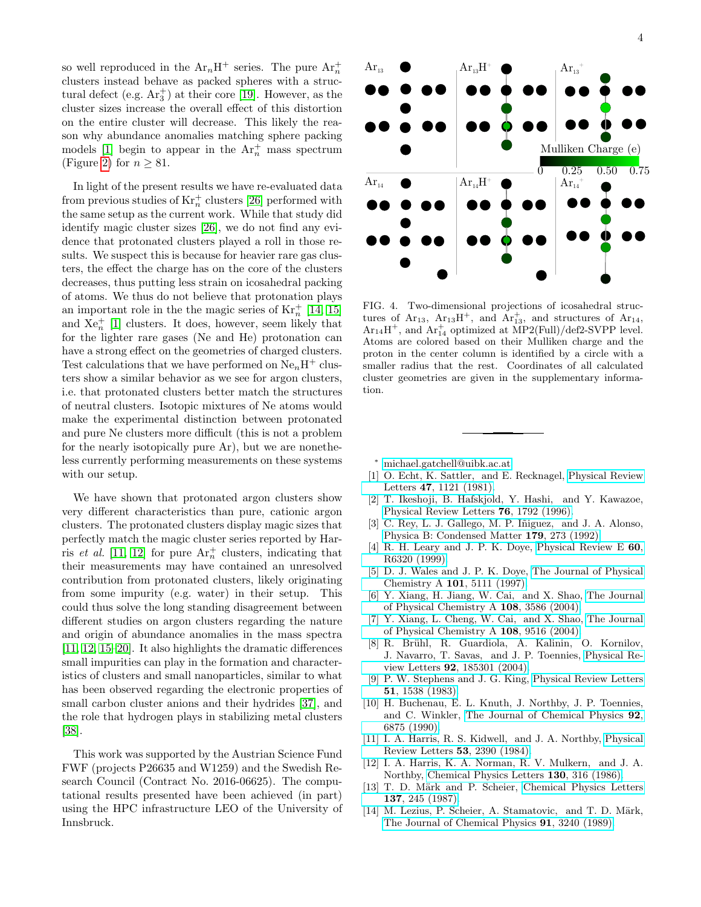so well reproduced in the  $Ar_nH^+$  series. The pure  $Ar_n^+$ clusters instead behave as packed spheres with a structural defect (e.g.  $Ar_{3}^{+}$ ) at their core [\[19\]](#page-4-7). However, as the cluster sizes increase the overall effect of this distortion on the entire cluster will decrease. This likely the reason why abundance anomalies matching sphere packing models [\[1\]](#page-3-1) begin to appear in the  $Ar_n^+$  mass spectrum (Figure [2\)](#page-2-0) for  $n \geq 81$ .

In light of the present results we have re-evaluated data from previous studies of  $\mathrm{Kr}^+_n$  clusters [\[26\]](#page-4-6) performed with the same setup as the current work. While that study did identify magic cluster sizes [\[26\]](#page-4-6), we do not find any evidence that protonated clusters played a roll in those results. We suspect this is because for heavier rare gas clusters, the effect the charge has on the core of the clusters decreases, thus putting less strain on icosahedral packing of atoms. We thus do not believe that protonation plays an important role in the the magic series of  $\text{Kr}_n^+$  [\[14,](#page-3-13) [15\]](#page-4-0) and  $Xe_n^+$  [\[1\]](#page-3-1) clusters. It does, however, seem likely that for the lighter rare gases (Ne and He) protonation can have a strong effect on the geometries of charged clusters. Test calculations that we have performed on  $Ne_nH^+$  clusters show a similar behavior as we see for argon clusters, i.e. that protonated clusters better match the structures of neutral clusters. Isotopic mixtures of Ne atoms would make the experimental distinction between protonated and pure Ne clusters more difficult (this is not a problem for the nearly isotopically pure Ar), but we are nonetheless currently performing measurements on these systems with our setup.

We have shown that protonated argon clusters show very different characteristics than pure, cationic argon clusters. The protonated clusters display magic sizes that perfectly match the magic cluster series reported by Harris *et al.* [\[11,](#page-3-10) [12\]](#page-3-11) for pure  $Ar_n^+$  clusters, indicating that their measurements may have contained an unresolved contribution from protonated clusters, likely originating from some impurity (e.g. water) in their setup. This could thus solve the long standing disagreement between different studies on argon clusters regarding the nature and origin of abundance anomalies in the mass spectra [\[11,](#page-3-10) [12,](#page-3-11) [15](#page-4-0)[–20\]](#page-4-1). It also highlights the dramatic differences small impurities can play in the formation and characteristics of clusters and small nanoparticles, similar to what has been observed regarding the electronic properties of small carbon cluster anions and their hydrides [\[37\]](#page-4-17), and the role that hydrogen plays in stabilizing metal clusters [\[38\]](#page-4-18).

This work was supported by the Austrian Science Fund FWF (projects P26635 and W1259) and the Swedish Research Council (Contract No. 2016-06625). The computational results presented have been achieved (in part) using the HPC infrastructure LEO of the University of Innsbruck.



<span id="page-3-14"></span>FIG. 4. Two-dimensional projections of icosahedral structures of  $Ar_{13}$ ,  $Ar_{13}H^+$ , and  $Ar_{13}^+$ , and structures of  $Ar_{14}$ ,  $Ar_{14}H^{+}$ , and  $Ar_{14}^{+}$  optimized at  $MP2(Full)/def2-SVPP$  level. Atoms are colored based on their Mulliken charge and the proton in the center column is identified by a circle with a smaller radius that the rest. Coordinates of all calculated cluster geometries are given in the supplementary information.

<span id="page-3-0"></span><sup>∗</sup> [michael.gatchell@uibk.ac.at](mailto:michael.gatchell@uibk.ac.at)

- <span id="page-3-1"></span>[1] O. Echt, K. Sattler, and E. Recknagel, [Physical Review](https://link.aps.org/doi/10.1103/PhysRevLett.47.1121) Letters 47[, 1121 \(1981\).](https://link.aps.org/doi/10.1103/PhysRevLett.47.1121)
- <span id="page-3-2"></span>[2] T. Ikeshoji, B. Hafskjold, Y. Hashi, and Y. Kawazoe, [Physical Review Letters](https://link.aps.org/doi/10.1103/PhysRevLett.76.1792) 76, 1792 (1996).
- <span id="page-3-3"></span>[3] C. Rey, L. J. Gallego, M. P. Iñiguez, and J. A. Alonso, [Physica B: Condensed Matter](http://dx.doi.org/https://doi.org/10.1016/0921-4526(92)90626-4) 179, 273 (1992).
- <span id="page-3-4"></span>[4] R. H. Leary and J. P. K. Doye, [Physical Review E](http://dx.doi.org/10.1103/PhysRevE.60.R6320) 60, [R6320 \(1999\).](http://dx.doi.org/10.1103/PhysRevE.60.R6320)
- <span id="page-3-5"></span>[5] D. J. Wales and J. P. K. Doye, [The Journal of Physical](http://dx.doi.org/10.1021/jp970984n) Chemistry A 101[, 5111 \(1997\).](http://dx.doi.org/10.1021/jp970984n)
- [6] Y. Xiang, H. Jiang, W. Cai, and X. Shao, [The Journal](http://dx.doi.org/ 10.1021/jp037780t) [of Physical Chemistry A](http://dx.doi.org/ 10.1021/jp037780t) 108, 3586 (2004).
- <span id="page-3-6"></span>[7] Y. Xiang, L. Cheng, W. Cai, and X. Shao, [The Journal](http://dx.doi.org/ 10.1021/jp047807o) [of Physical Chemistry A](http://dx.doi.org/ 10.1021/jp047807o) 108, 9516 (2004).
- <span id="page-3-7"></span>[8] R. Brühl, R. Guardiola, A. Kalinin, O. Kornilov, J. Navarro, T. Savas, and J. P. Toennies, [Physical Re](http://dx.doi.org/10.1103/PhysRevLett.92.185301)view Letters 92[, 185301 \(2004\).](http://dx.doi.org/10.1103/PhysRevLett.92.185301)
- <span id="page-3-8"></span>[9] P. W. Stephens and J. G. King, [Physical Review Letters](http://dx.doi.org/10.1103/PhysRevLett.51.1538) 51[, 1538 \(1983\).](http://dx.doi.org/10.1103/PhysRevLett.51.1538)
- <span id="page-3-9"></span>[10] H. Buchenau, E. L. Knuth, J. Northby, J. P. Toennies, and C. Winkler, [The Journal of Chemical Physics](http://dx.doi.org/ 10.1063/1.458275) 92, [6875 \(1990\).](http://dx.doi.org/ 10.1063/1.458275)
- <span id="page-3-10"></span>[11] I. A. Harris, R. S. Kidwell, and J. A. Northby, [Physical](https://link.aps.org/doi/10.1103/PhysRevLett.53.2390) [Review Letters](https://link.aps.org/doi/10.1103/PhysRevLett.53.2390) 53, 2390 (1984).
- <span id="page-3-11"></span>[12] I. A. Harris, K. A. Norman, R. V. Mulkern, and J. A. Northby, [Chemical Physics Letters](http://dx.doi.org/https://doi.org/10.1016/0009-2614(86)80476-6) 130, 316 (1986).
- <span id="page-3-12"></span>[13] T. D. Märk and P. Scheier, [Chemical Physics Letters](http://dx.doi.org/https://doi.org/10.1016/0009-2614(87)80213-0) 137[, 245 \(1987\).](http://dx.doi.org/https://doi.org/10.1016/0009-2614(87)80213-0)
- <span id="page-3-13"></span>[14] M. Lezius, P. Scheier, A. Stamatovic, and T. D. Märk, [The Journal of Chemical Physics](http://dx.doi.org/10.1063/1.456898) 91, 3240 (1989).